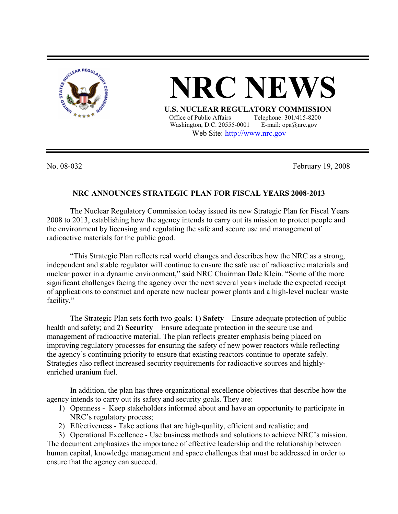

**NRC NEW** 

**U.S. NUCLEAR REGULATORY COMMISSION**<br>Office of Public Affairs Telephone: 301/415-8200 Telephone: 301/415-8200 Washington, D.C. 20555-0001 E-mail: opa@nrc.gov Web Site: http://www.nrc.gov

No. 08-032 February 19, 2008

## **NRC ANNOUNCES STRATEGIC PLAN FOR FISCAL YEARS 2008-2013**

The Nuclear Regulatory Commission today issued its new Strategic Plan for Fiscal Years 2008 to 2013, establishing how the agency intends to carry out its mission to protect people and the environment by licensing and regulating the safe and secure use and management of radioactive materials for the public good.

"This Strategic Plan reflects real world changes and describes how the NRC as a strong, independent and stable regulator will continue to ensure the safe use of radioactive materials and nuclear power in a dynamic environment," said NRC Chairman Dale Klein. "Some of the more significant challenges facing the agency over the next several years include the expected receipt of applications to construct and operate new nuclear power plants and a high-level nuclear waste facility."

The Strategic Plan sets forth two goals: 1) **Safety** – Ensure adequate protection of public health and safety; and 2) **Security** – Ensure adequate protection in the secure use and management of radioactive material. The plan reflects greater emphasis being placed on improving regulatory processes for ensuring the safety of new power reactors while reflecting the agency's continuing priority to ensure that existing reactors continue to operate safely. Strategies also reflect increased security requirements for radioactive sources and highlyenriched uranium fuel.

In addition, the plan has three organizational excellence objectives that describe how the agency intends to carry out its safety and security goals. They are:

- 1) Openness Keep stakeholders informed about and have an opportunity to participate in NRC's regulatory process;
- 2) Effectiveness Take actions that are high-quality, efficient and realistic; and

3) Operational Excellence - Use business methods and solutions to achieve NRC's mission. The document emphasizes the importance of effective leadership and the relationship between human capital, knowledge management and space challenges that must be addressed in order to ensure that the agency can succeed.